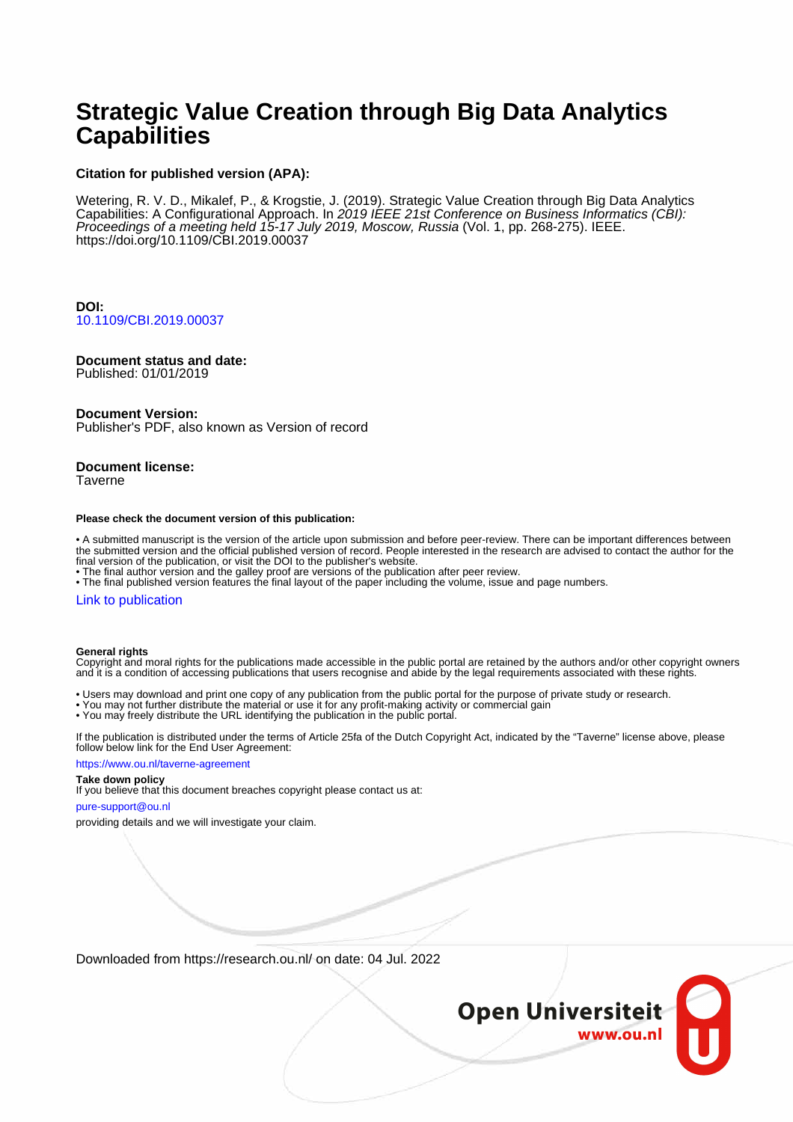# **Strategic Value Creation through Big Data Analytics Capabilities**

# **Citation for published version (APA):**

Wetering, R. V. D., Mikalef, P., & Krogstie, J. (2019). Strategic Value Creation through Big Data Analytics Capabilities: A Configurational Approach. In 2019 IEEE 21st Conference on Business Informatics (CBI): Proceedings of a meeting held 15-17 July 2019, Moscow, Russia (Vol. 1, pp. 268-275). IEEE. <https://doi.org/10.1109/CBI.2019.00037>

**DOI:** [10.1109/CBI.2019.00037](https://doi.org/10.1109/CBI.2019.00037)

# **Document status and date:**

Published: 01/01/2019

### **Document Version:**

Publisher's PDF, also known as Version of record

# **Document license:**

Taverne

#### **Please check the document version of this publication:**

• A submitted manuscript is the version of the article upon submission and before peer-review. There can be important differences between the submitted version and the official published version of record. People interested in the research are advised to contact the author for the final version of the publication, or visit the DOI to the publisher's website.

• The final author version and the galley proof are versions of the publication after peer review.

• The final published version features the final layout of the paper including the volume, issue and page numbers.

#### [Link to publication](https://research.ou.nl/en/publications/5ed82672-43e1-40d0-a785-9e12491ea129)

#### **General rights**

Copyright and moral rights for the publications made accessible in the public portal are retained by the authors and/or other copyright owners and it is a condition of accessing publications that users recognise and abide by the legal requirements associated with these rights.

- Users may download and print one copy of any publication from the public portal for the purpose of private study or research.
- You may not further distribute the material or use it for any profit-making activity or commercial gain
- You may freely distribute the URL identifying the publication in the public portal.

If the publication is distributed under the terms of Article 25fa of the Dutch Copyright Act, indicated by the "Taverne" license above, please follow below link for the End User Agreement:

#### https://www.ou.nl/taverne-agreement

# **Take down policy**

If you believe that this document breaches copyright please contact us at:

#### pure-support@ou.nl

providing details and we will investigate your claim.

Downloaded from https://research.ou.nl/ on date: 04 Jul. 2022

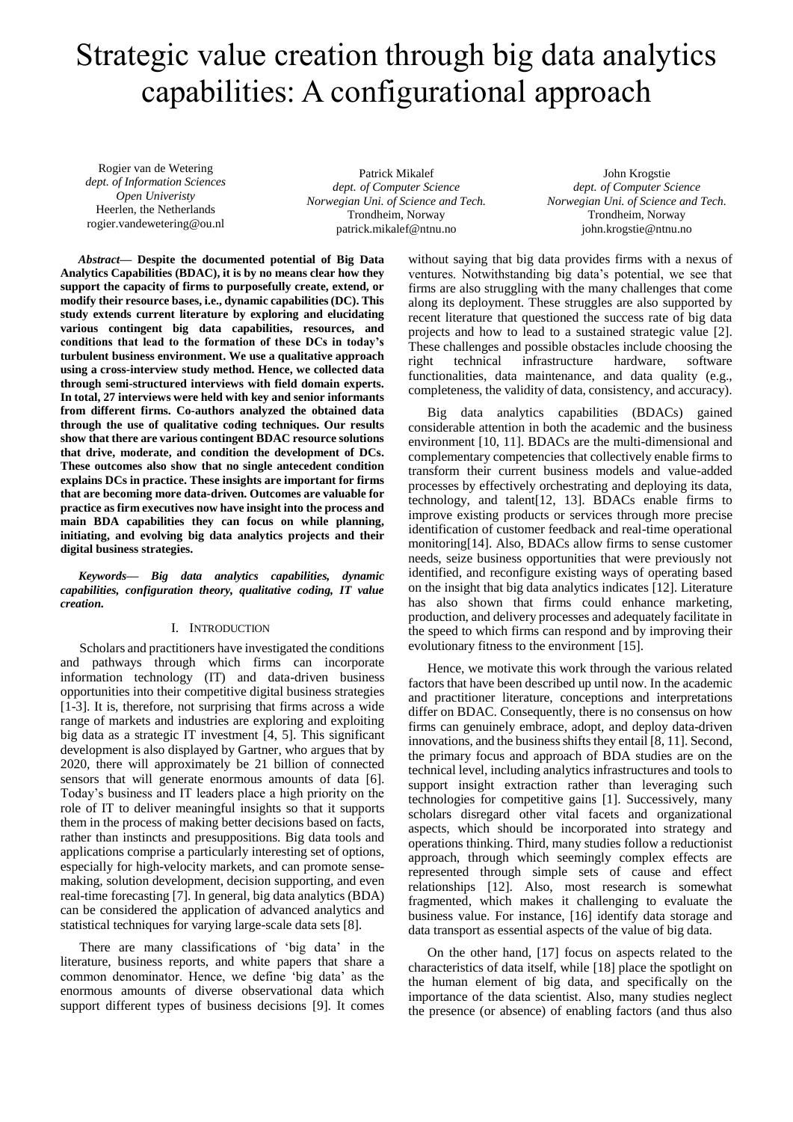# Strategic value creation through big data analytics capabilities: A configurational approach

Rogier van de Wetering *dept. of Information Sciences Open Univeristy* Heerlen, the Netherlands rogier.vandewetering@ou.nl

Patrick Mikalef *dept. of Computer Science Norwegian Uni. of Science and Tech.* Trondheim, Norway patrick.mikalef@ntnu.no

John Krogstie *dept. of Computer Science Norwegian Uni. of Science and Tech.* Trondheim, Norway john.krogstie@ntnu.no

*Abstract***— Despite the documented potential of Big Data Analytics Capabilities (BDAC), it is by no means clear how they support the capacity of firms to purposefully create, extend, or modify their resource bases, i.e., dynamic capabilities (DC). This study extends current literature by exploring and elucidating various contingent big data capabilities, resources, and conditions that lead to the formation of these DCs in today's turbulent business environment. We use a qualitative approach using a cross-interview study method. Hence, we collected data through semi-structured interviews with field domain experts. In total, 27 interviews were held with key and senior informants from different firms. Co-authors analyzed the obtained data through the use of qualitative coding techniques. Our results show that there are various contingent BDAC resource solutions that drive, moderate, and condition the development of DCs. These outcomes also show that no single antecedent condition explains DCs in practice. These insights are important for firms that are becoming more data-driven. Outcomes are valuable for practice as firm executives now have insight into the process and main BDA capabilities they can focus on while planning, initiating, and evolving big data analytics projects and their digital business strategies.**

*Keywords— Big data analytics capabilities, dynamic capabilities, configuration theory, qualitative coding, IT value creation.*

# I. INTRODUCTION

Scholars and practitioners have investigated the conditions and pathways through which firms can incorporate information technology (IT) and data-driven business opportunities into their competitive digital business strategies [1-3]. It is, therefore, not surprising that firms across a wide range of markets and industries are exploring and exploiting big data as a strategic IT investment [4, 5]. This significant development is also displayed by Gartner, who argues that by 2020, there will approximately be 21 billion of connected sensors that will generate enormous amounts of data [6]. Today's business and IT leaders place a high priority on the role of IT to deliver meaningful insights so that it supports them in the process of making better decisions based on facts, rather than instincts and presuppositions. Big data tools and applications comprise a particularly interesting set of options, especially for high-velocity markets, and can promote sensemaking, solution development, decision supporting, and even real-time forecasting [7]. In general, big data analytics (BDA) can be considered the application of advanced analytics and statistical techniques for varying large-scale data sets [8].

There are many classifications of 'big data' in the literature, business reports, and white papers that share a common denominator. Hence, we define 'big data' as the enormous amounts of diverse observational data which support different types of business decisions [9]. It comes

without saying that big data provides firms with a nexus of ventures. Notwithstanding big data's potential, we see that firms are also struggling with the many challenges that come along its deployment. These struggles are also supported by recent literature that questioned the success rate of big data projects and how to lead to a sustained strategic value [2]. These challenges and possible obstacles include choosing the right technical infrastructure hardware, software functionalities, data maintenance, and data quality (e.g., completeness, the validity of data, consistency, and accuracy).

Big data analytics capabilities (BDACs) gained considerable attention in both the academic and the business environment [10, 11]. BDACs are the multi-dimensional and complementary competencies that collectively enable firms to transform their current business models and value-added processes by effectively orchestrating and deploying its data, technology, and talent[12, 13]. BDACs enable firms to improve existing products or services through more precise identification of customer feedback and real-time operational monitoring[14]. Also, BDACs allow firms to sense customer needs, seize business opportunities that were previously not identified, and reconfigure existing ways of operating based on the insight that big data analytics indicates [12]. Literature has also shown that firms could enhance marketing, production, and delivery processes and adequately facilitate in the speed to which firms can respond and by improving their evolutionary fitness to the environment [15].

Hence, we motivate this work through the various related factors that have been described up until now. In the academic and practitioner literature, conceptions and interpretations differ on BDAC. Consequently, there is no consensus on how firms can genuinely embrace, adopt, and deploy data-driven innovations, and the business shifts they entail [8, 11]. Second, the primary focus and approach of BDA studies are on the technical level, including analytics infrastructures and tools to support insight extraction rather than leveraging such technologies for competitive gains [1]. Successively, many scholars disregard other vital facets and organizational aspects, which should be incorporated into strategy and operations thinking. Third, many studies follow a reductionist approach, through which seemingly complex effects are represented through simple sets of cause and effect relationships [12]. Also, most research is somewhat fragmented, which makes it challenging to evaluate the business value. For instance, [16] identify data storage and data transport as essential aspects of the value of big data.

On the other hand, [17] focus on aspects related to the characteristics of data itself, while [18] place the spotlight on the human element of big data, and specifically on the importance of the data scientist. Also, many studies neglect the presence (or absence) of enabling factors (and thus also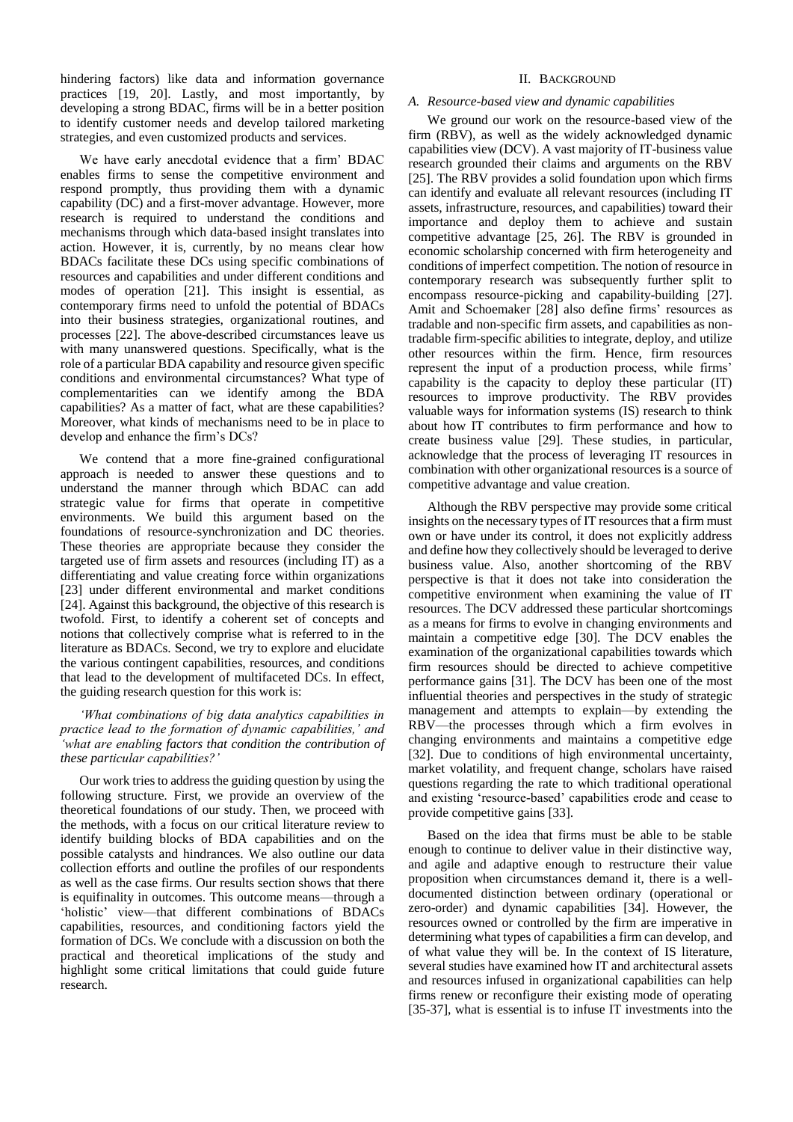hindering factors) like data and information governance practices [19, 20]. Lastly, and most importantly, by developing a strong BDAC, firms will be in a better position to identify customer needs and develop tailored marketing strategies, and even customized products and services.

We have early anecdotal evidence that a firm' BDAC enables firms to sense the competitive environment and respond promptly, thus providing them with a dynamic capability (DC) and a first-mover advantage. However, more research is required to understand the conditions and mechanisms through which data-based insight translates into action. However, it is, currently, by no means clear how BDACs facilitate these DCs using specific combinations of resources and capabilities and under different conditions and modes of operation [21]. This insight is essential, as contemporary firms need to unfold the potential of BDACs into their business strategies, organizational routines, and processes [22]. The above-described circumstances leave us with many unanswered questions. Specifically, what is the role of a particular BDA capability and resource given specific conditions and environmental circumstances? What type of complementarities can we identify among the BDA capabilities? As a matter of fact, what are these capabilities? Moreover, what kinds of mechanisms need to be in place to develop and enhance the firm's DCs?

We contend that a more fine-grained configurational approach is needed to answer these questions and to understand the manner through which BDAC can add strategic value for firms that operate in competitive environments. We build this argument based on the foundations of resource-synchronization and DC theories. These theories are appropriate because they consider the targeted use of firm assets and resources (including IT) as a differentiating and value creating force within organizations [23] under different environmental and market conditions [24]. Against this background, the objective of this research is twofold. First, to identify a coherent set of concepts and notions that collectively comprise what is referred to in the literature as BDACs. Second, we try to explore and elucidate the various contingent capabilities, resources, and conditions that lead to the development of multifaceted DCs. In effect, the guiding research question for this work is:

# *'What combinations of big data analytics capabilities in practice lead to the formation of dynamic capabilities,' and 'what are enabling factors that condition the contribution of these particular capabilities?'*

Our work tries to address the guiding question by using the following structure. First, we provide an overview of the theoretical foundations of our study. Then, we proceed with the methods, with a focus on our critical literature review to identify building blocks of BDA capabilities and on the possible catalysts and hindrances. We also outline our data collection efforts and outline the profiles of our respondents as well as the case firms. Our results section shows that there is equifinality in outcomes. This outcome means—through a 'holistic' view—that different combinations of BDACs capabilities, resources, and conditioning factors yield the formation of DCs. We conclude with a discussion on both the practical and theoretical implications of the study and highlight some critical limitations that could guide future research.

# II. BACKGROUND

# *A. Resource-based view and dynamic capabilities*

We ground our work on the resource-based view of the firm (RBV), as well as the widely acknowledged dynamic capabilities view (DCV). A vast majority of IT-business value research grounded their claims and arguments on the RBV [25]. The RBV provides a solid foundation upon which firms can identify and evaluate all relevant resources (including IT assets, infrastructure, resources, and capabilities) toward their importance and deploy them to achieve and sustain competitive advantage [25, 26]. The RBV is grounded in economic scholarship concerned with firm heterogeneity and conditions of imperfect competition. The notion of resource in contemporary research was subsequently further split to encompass resource-picking and capability-building [27]. Amit and Schoemaker [28] also define firms' resources as tradable and non-specific firm assets, and capabilities as nontradable firm-specific abilities to integrate, deploy, and utilize other resources within the firm. Hence, firm resources represent the input of a production process, while firms' capability is the capacity to deploy these particular (IT) resources to improve productivity. The RBV provides valuable ways for information systems (IS) research to think about how IT contributes to firm performance and how to create business value [29]. These studies, in particular, acknowledge that the process of leveraging IT resources in combination with other organizational resources is a source of competitive advantage and value creation.

Although the RBV perspective may provide some critical insights on the necessary types of IT resources that a firm must own or have under its control, it does not explicitly address and define how they collectively should be leveraged to derive business value. Also, another shortcoming of the RBV perspective is that it does not take into consideration the competitive environment when examining the value of IT resources. The DCV addressed these particular shortcomings as a means for firms to evolve in changing environments and maintain a competitive edge [30]. The DCV enables the examination of the organizational capabilities towards which firm resources should be directed to achieve competitive performance gains [31]. The DCV has been one of the most influential theories and perspectives in the study of strategic management and attempts to explain—by extending the RBV—the processes through which a firm evolves in changing environments and maintains a competitive edge [32]. Due to conditions of high environmental uncertainty, market volatility, and frequent change, scholars have raised questions regarding the rate to which traditional operational and existing 'resource-based' capabilities erode and cease to provide competitive gains [33].

Based on the idea that firms must be able to be stable enough to continue to deliver value in their distinctive way, and agile and adaptive enough to restructure their value proposition when circumstances demand it, there is a welldocumented distinction between ordinary (operational or zero-order) and dynamic capabilities [34]. However, the resources owned or controlled by the firm are imperative in determining what types of capabilities a firm can develop, and of what value they will be. In the context of IS literature, several studies have examined how IT and architectural assets and resources infused in organizational capabilities can help firms renew or reconfigure their existing mode of operating [35-37], what is essential is to infuse IT investments into the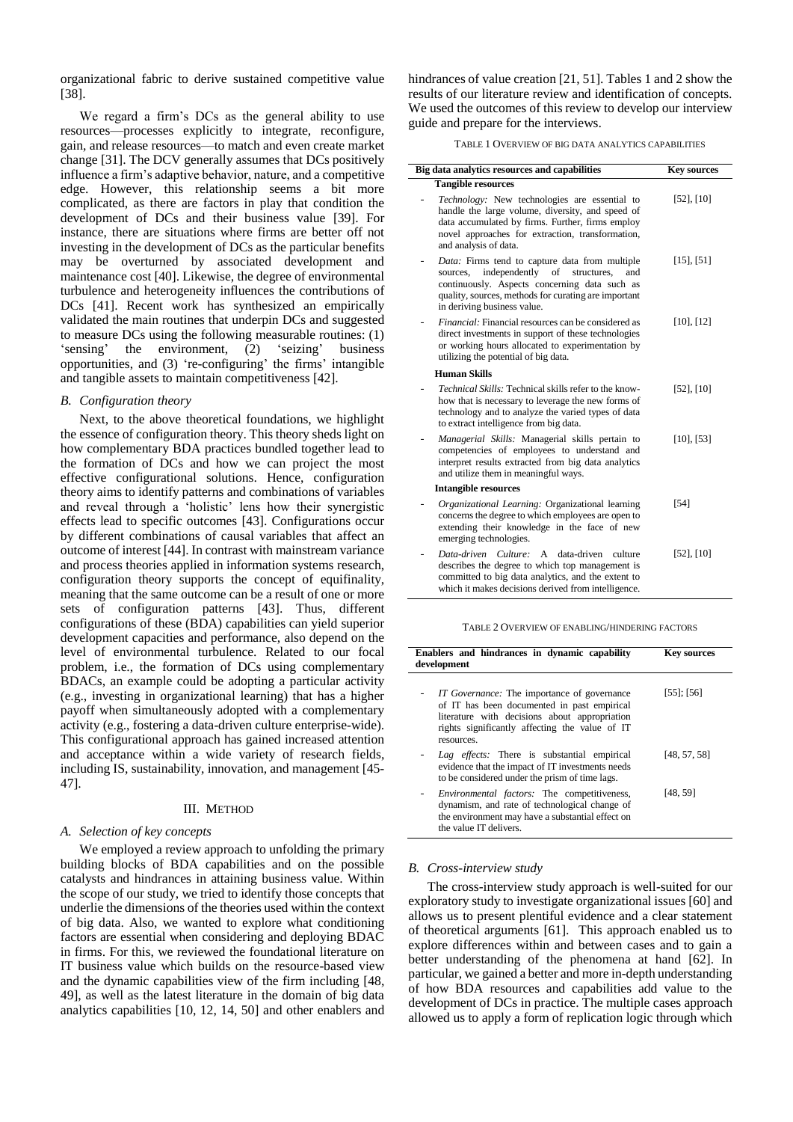organizational fabric to derive sustained competitive value [38].

We regard a firm's DCs as the general ability to use resources—processes explicitly to integrate, reconfigure, gain, and release resources—to match and even create market change [31]. The DCV generally assumes that DCs positively influence a firm's adaptive behavior, nature, and a competitive edge. However, this relationship seems a bit more complicated, as there are factors in play that condition the development of DCs and their business value [39]. For instance, there are situations where firms are better off not investing in the development of DCs as the particular benefits may be overturned by associated development and maintenance cost [40]. Likewise, the degree of environmental turbulence and heterogeneity influences the contributions of DCs [41]. Recent work has synthesized an empirically validated the main routines that underpin DCs and suggested to measure DCs using the following measurable routines: (1) 'sensing' the environment, (2) 'seizing' business opportunities, and (3) 're-configuring' the firms' intangible and tangible assets to maintain competitiveness [42].

# *B. Configuration theory*

Next, to the above theoretical foundations, we highlight the essence of configuration theory. This theory sheds light on how complementary BDA practices bundled together lead to the formation of DCs and how we can project the most effective configurational solutions. Hence, configuration theory aims to identify patterns and combinations of variables and reveal through a 'holistic' lens how their synergistic effects lead to specific outcomes [43]. Configurations occur by different combinations of causal variables that affect an outcome of interest [44]. In contrast with mainstream variance and process theories applied in information systems research, configuration theory supports the concept of equifinality, meaning that the same outcome can be a result of one or more sets of configuration patterns [43]. Thus, different configurations of these (BDA) capabilities can yield superior development capacities and performance, also depend on the level of environmental turbulence. Related to our focal problem, i.e., the formation of DCs using complementary BDACs, an example could be adopting a particular activity (e.g., investing in organizational learning) that has a higher payoff when simultaneously adopted with a complementary activity (e.g., fostering a data-driven culture enterprise-wide). This configurational approach has gained increased attention and acceptance within a wide variety of research fields, including IS, sustainability, innovation, and management [45- 47].

# III. METHOD

# *A. Selection of key concepts*

We employed a review approach to unfolding the primary building blocks of BDA capabilities and on the possible catalysts and hindrances in attaining business value. Within the scope of our study, we tried to identify those concepts that underlie the dimensions of the theories used within the context of big data. Also, we wanted to explore what conditioning factors are essential when considering and deploying BDAC in firms. For this, we reviewed the foundational literature on IT business value which builds on the resource-based view and the dynamic capabilities view of the firm including [48, 49], as well as the latest literature in the domain of big data analytics capabilities [10, 12, 14, 50] and other enablers and

hindrances of value creation [21, 51]. Tables 1 and 2 show the results of our literature review and identification of concepts. We used the outcomes of this review to develop our interview guide and prepare for the interviews.

TABLE 1 OVERVIEW OF BIG DATA ANALYTICS CAPABILITIES

| Big data analytics resources and capabilities                                                                                                                                                                                                   | <b>Key sources</b> |
|-------------------------------------------------------------------------------------------------------------------------------------------------------------------------------------------------------------------------------------------------|--------------------|
| <b>Tangible resources</b>                                                                                                                                                                                                                       |                    |
| Technology: New technologies are essential to<br>handle the large volume, diversity, and speed of<br>data accumulated by firms. Further, firms employ<br>novel approaches for extraction, transformation,<br>and analysis of data.              | $[52]$ , $[10]$    |
| Data: Firms tend to capture data from multiple<br>independently<br>of<br>structures,<br>and<br>sources,<br>continuously. Aspects concerning data such as<br>quality, sources, methods for curating are important<br>in deriving business value. | $[15]$ , $[51]$    |
| <i>Financial:</i> Financial resources can be considered as<br>direct investments in support of these technologies<br>or working hours allocated to experimentation by<br>utilizing the potential of big data.                                   | $[10]$ , $[12]$    |
| <b>Human Skills</b>                                                                                                                                                                                                                             |                    |
| <i>Technical Skills:</i> Technical skills refer to the know-<br>how that is necessary to leverage the new forms of<br>technology and to analyze the varied types of data<br>to extract intelligence from big data.                              | $[52]$ , $[10]$    |
| Managerial Skills: Managerial skills pertain to<br>competencies of employees to understand and<br>interpret results extracted from big data analytics<br>and utilize them in meaningful ways.                                                   | $[10]$ , $[53]$    |
| <b>Intangible resources</b>                                                                                                                                                                                                                     |                    |
| Organizational Learning: Organizational learning<br>concerns the degree to which employees are open to<br>extending their knowledge in the face of new<br>emerging technologies.                                                                | [54]               |
| Data-driven Culture: A data-driven<br>culture<br>describes the degree to which top management is<br>committed to big data analytics, and the extent to<br>which it makes decisions derived from intelligence.                                   | $[52]$ , $[10]$    |

TABLE 2 OVERVIEW OF ENABLING/HINDERING FACTORS

| Enablers and hindrances in dynamic capability                                                                                                                                                               | <b>Key sources</b> |  |  |  |  |  |  |  |  |
|-------------------------------------------------------------------------------------------------------------------------------------------------------------------------------------------------------------|--------------------|--|--|--|--|--|--|--|--|
| development                                                                                                                                                                                                 |                    |  |  |  |  |  |  |  |  |
| IT Governance: The importance of governance<br>of IT has been documented in past empirical<br>literature with decisions about appropriation<br>rights significantly affecting the value of IT<br>resources. | $[55]$ ; [56]      |  |  |  |  |  |  |  |  |
| Lag effects: There is substantial empirical<br>evidence that the impact of IT investments needs<br>to be considered under the prism of time lags.                                                           | [48, 57, 58]       |  |  |  |  |  |  |  |  |
| <i>Environmental factors:</i> The competitiveness,<br>dynamism, and rate of technological change of<br>the environment may have a substantial effect on<br>the value IT delivers.                           | [48, 59]           |  |  |  |  |  |  |  |  |

#### *B. Cross-interview study*

The cross-interview study approach is well-suited for our exploratory study to investigate organizational issues [60] and allows us to present plentiful evidence and a clear statement of theoretical arguments [61]. This approach enabled us to explore differences within and between cases and to gain a better understanding of the phenomena at hand [62]. In particular, we gained a better and more in-depth understanding of how BDA resources and capabilities add value to the development of DCs in practice. The multiple cases approach allowed us to apply a form of replication logic through which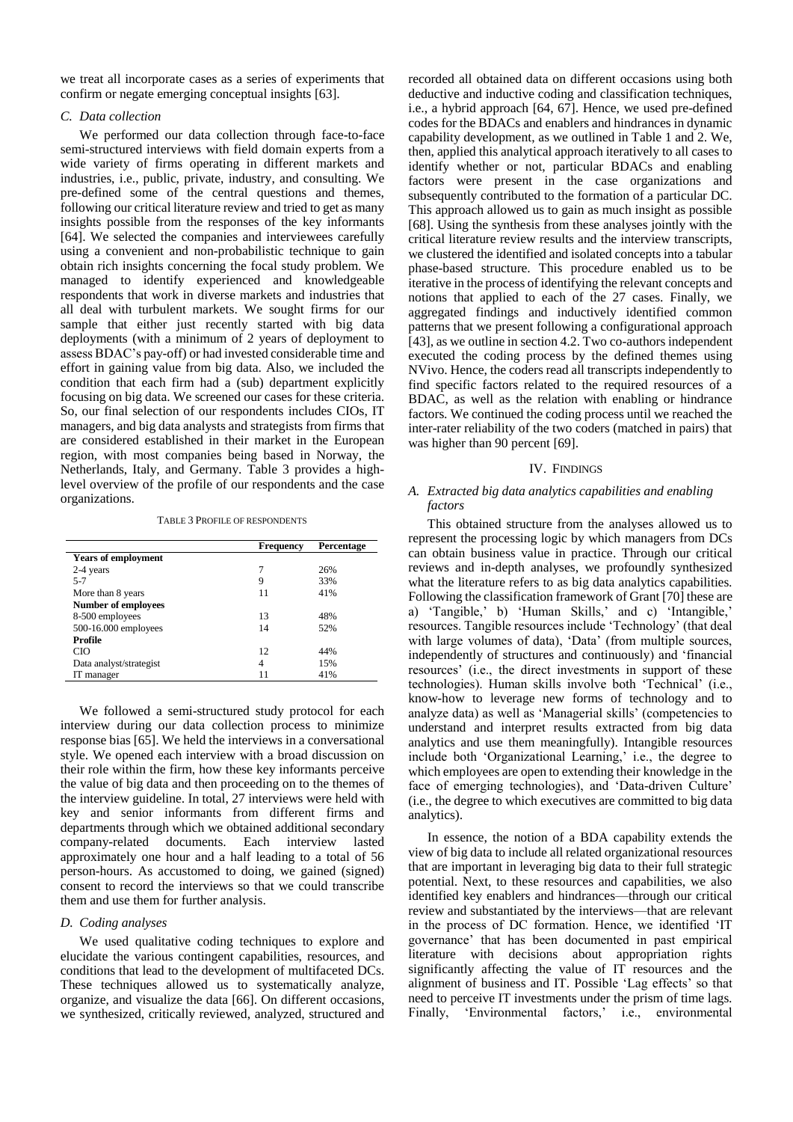we treat all incorporate cases as a series of experiments that confirm or negate emerging conceptual insights [63].

#### *C. Data collection*

We performed our data collection through face-to-face semi-structured interviews with field domain experts from a wide variety of firms operating in different markets and industries, i.e., public, private, industry, and consulting. We pre-defined some of the central questions and themes, following our critical literature review and tried to get as many insights possible from the responses of the key informants [64]. We selected the companies and interviewees carefully using a convenient and non-probabilistic technique to gain obtain rich insights concerning the focal study problem. We managed to identify experienced and knowledgeable respondents that work in diverse markets and industries that all deal with turbulent markets. We sought firms for our sample that either just recently started with big data deployments (with a minimum of 2 years of deployment to assess BDAC's pay-off) or had invested considerable time and effort in gaining value from big data. Also, we included the condition that each firm had a (sub) department explicitly focusing on big data. We screened our cases for these criteria. So, our final selection of our respondents includes CIOs, IT managers, and big data analysts and strategists from firms that are considered established in their market in the European region, with most companies being based in Norway, the Netherlands, Italy, and Germany. Table 3 provides a highlevel overview of the profile of our respondents and the case organizations.

TABLE 3 PROFILE OF RESPONDENTS

|                            | <b>Frequency</b> | Percentage |
|----------------------------|------------------|------------|
| <b>Years of employment</b> |                  |            |
| 2-4 years                  | 7                | 26%        |
| $5 - 7$                    | 9                | 33%        |
| More than 8 years          | 11               | 41%        |
| <b>Number of employees</b> |                  |            |
| 8-500 employees            | 13               | 48%        |
| 500-16.000 employees       | 14               | 52%        |
| Profile                    |                  |            |
| CIO                        | 12               | 44%        |
| Data analyst/strategist    | 4                | 15%        |
| IT manager                 | 11               | 41%        |

We followed a semi-structured study protocol for each interview during our data collection process to minimize response bias [65]. We held the interviews in a conversational style. We opened each interview with a broad discussion on their role within the firm, how these key informants perceive the value of big data and then proceeding on to the themes of the interview guideline. In total, 27 interviews were held with key and senior informants from different firms and departments through which we obtained additional secondary company-related documents. Each interview lasted approximately one hour and a half leading to a total of 56 person-hours. As accustomed to doing, we gained (signed) consent to record the interviews so that we could transcribe them and use them for further analysis.

# *D. Coding analyses*

We used qualitative coding techniques to explore and elucidate the various contingent capabilities, resources, and conditions that lead to the development of multifaceted DCs. These techniques allowed us to systematically analyze, organize, and visualize the data [66]. On different occasions, we synthesized, critically reviewed, analyzed, structured and recorded all obtained data on different occasions using both deductive and inductive coding and classification techniques, i.e., a hybrid approach [64, 67]. Hence, we used pre-defined codes for the BDACs and enablers and hindrances in dynamic capability development, as we outlined in Table 1 and 2. We, then, applied this analytical approach iteratively to all cases to identify whether or not, particular BDACs and enabling factors were present in the case organizations and subsequently contributed to the formation of a particular DC. This approach allowed us to gain as much insight as possible [68]. Using the synthesis from these analyses jointly with the critical literature review results and the interview transcripts, we clustered the identified and isolated concepts into a tabular phase-based structure. This procedure enabled us to be iterative in the process of identifying the relevant concepts and notions that applied to each of the 27 cases. Finally, we aggregated findings and inductively identified common patterns that we present following a configurational approach [43], as we outline in section 4.2. Two co-authors independent executed the coding process by the defined themes using NVivo. Hence, the coders read all transcripts independently to find specific factors related to the required resources of a BDAC, as well as the relation with enabling or hindrance factors. We continued the coding process until we reached the inter-rater reliability of the two coders (matched in pairs) that was higher than 90 percent [69].

#### IV. FINDINGS

# *A. Extracted big data analytics capabilities and enabling factors*

This obtained structure from the analyses allowed us to represent the processing logic by which managers from DCs can obtain business value in practice. Through our critical reviews and in-depth analyses, we profoundly synthesized what the literature refers to as big data analytics capabilities. Following the classification framework of Grant [70] these are a) 'Tangible,' b) 'Human Skills,' and c) 'Intangible,' resources. Tangible resources include 'Technology' (that deal with large volumes of data), 'Data' (from multiple sources, independently of structures and continuously) and 'financial resources' (i.e., the direct investments in support of these technologies). Human skills involve both 'Technical' (i.e., know-how to leverage new forms of technology and to analyze data) as well as 'Managerial skills' (competencies to understand and interpret results extracted from big data analytics and use them meaningfully). Intangible resources include both 'Organizational Learning,' i.e., the degree to which employees are open to extending their knowledge in the face of emerging technologies), and 'Data-driven Culture' (i.e., the degree to which executives are committed to big data analytics).

In essence, the notion of a BDA capability extends the view of big data to include all related organizational resources that are important in leveraging big data to their full strategic potential. Next, to these resources and capabilities, we also identified key enablers and hindrances—through our critical review and substantiated by the interviews—that are relevant in the process of DC formation. Hence, we identified 'IT governance' that has been documented in past empirical literature with decisions about appropriation rights significantly affecting the value of IT resources and the alignment of business and IT. Possible 'Lag effects' so that need to perceive IT investments under the prism of time lags. Finally, 'Environmental factors,' i.e., environmental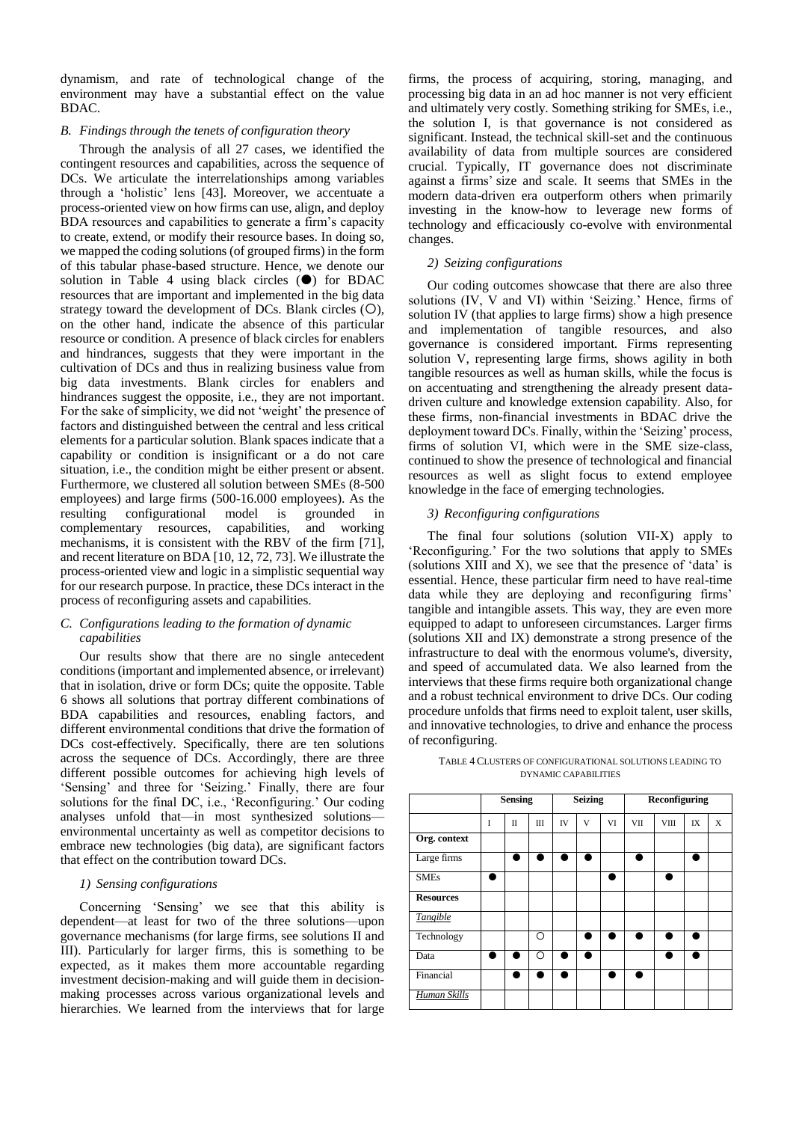dynamism, and rate of technological change of the environment may have a substantial effect on the value BDAC.

# *B. Findings through the tenets of configuration theory*

Through the analysis of all 27 cases, we identified the contingent resources and capabilities, across the sequence of DCs. We articulate the interrelationships among variables through a 'holistic' lens [43]. Moreover, we accentuate a process-oriented view on how firms can use, align, and deploy BDA resources and capabilities to generate a firm's capacity to create, extend, or modify their resource bases. In doing so, we mapped the coding solutions (of grouped firms) in the form of this tabular phase-based structure. Hence, we denote our solution in Table 4 using black circles  $(\bullet)$  for BDAC resources that are important and implemented in the big data strategy toward the development of DCs. Blank circles  $(O)$ , on the other hand, indicate the absence of this particular resource or condition. A presence of black circles for enablers and hindrances, suggests that they were important in the cultivation of DCs and thus in realizing business value from big data investments. Blank circles for enablers and hindrances suggest the opposite, i.e., they are not important. For the sake of simplicity, we did not 'weight' the presence of factors and distinguished between the central and less critical elements for a particular solution. Blank spaces indicate that a capability or condition is insignificant or a do not care situation, i.e., the condition might be either present or absent. Furthermore, we clustered all solution between SMEs (8-500 employees) and large firms (500-16.000 employees). As the resulting configurational model is grounded in complementary resources, capabilities, and working mechanisms, it is consistent with the RBV of the firm [71], and recent literature on BDA [10, 12, 72, 73]. We illustrate the process-oriented view and logic in a simplistic sequential way for our research purpose. In practice, these DCs interact in the process of reconfiguring assets and capabilities.

# *C. Configurations leading to the formation of dynamic capabilities*

Our results show that there are no single antecedent conditions (important and implemented absence, or irrelevant) that in isolation, drive or form DCs; quite the opposite. Table 6 shows all solutions that portray different combinations of BDA capabilities and resources, enabling factors, and different environmental conditions that drive the formation of DCs cost-effectively. Specifically, there are ten solutions across the sequence of DCs. Accordingly, there are three different possible outcomes for achieving high levels of 'Sensing' and three for 'Seizing.' Finally, there are four solutions for the final DC, i.e., 'Reconfiguring.' Our coding analyses unfold that—in most synthesized solutions environmental uncertainty as well as competitor decisions to embrace new technologies (big data), are significant factors that effect on the contribution toward DCs.

# *1) Sensing configurations*

Concerning 'Sensing' we see that this ability is dependent—at least for two of the three solutions—upon governance mechanisms (for large firms, see solutions II and III). Particularly for larger firms, this is something to be expected, as it makes them more accountable regarding investment decision-making and will guide them in decisionmaking processes across various organizational levels and hierarchies. We learned from the interviews that for large

firms, the process of acquiring, storing, managing, and processing big data in an ad hoc manner is not very efficient and ultimately very costly. Something striking for SMEs, i.e., the solution I, is that governance is not considered as significant. Instead, the technical skill-set and the continuous availability of data from multiple sources are considered crucial. Typically, IT governance does not discriminate against a firms' size and scale. It seems that SMEs in the modern data-driven era outperform others when primarily investing in the know-how to leverage new forms of technology and efficaciously co-evolve with environmental changes.

# *2) Seizing configurations*

Our coding outcomes showcase that there are also three solutions (IV, V and VI) within 'Seizing.' Hence, firms of solution IV (that applies to large firms) show a high presence and implementation of tangible resources, and also governance is considered important. Firms representing solution V, representing large firms, shows agility in both tangible resources as well as human skills, while the focus is on accentuating and strengthening the already present datadriven culture and knowledge extension capability. Also, for these firms, non-financial investments in BDAC drive the deployment toward DCs. Finally, within the 'Seizing' process, firms of solution VI, which were in the SME size-class, continued to show the presence of technological and financial resources as well as slight focus to extend employee knowledge in the face of emerging technologies.

#### *3) Reconfiguring configurations*

The final four solutions (solution VII-X) apply to 'Reconfiguring.' For the two solutions that apply to SMEs (solutions XIII and X), we see that the presence of 'data' is essential. Hence, these particular firm need to have real-time data while they are deploying and reconfiguring firms' tangible and intangible assets. This way, they are even more equipped to adapt to unforeseen circumstances. Larger firms (solutions XII and IX) demonstrate a strong presence of the infrastructure to deal with the enormous volume's, diversity, and speed of accumulated data. We also learned from the interviews that these firms require both organizational change and a robust technical environment to drive DCs. Our coding procedure unfolds that firms need to exploit talent, user skills, and innovative technologies, to drive and enhance the process of reconfiguring.

| TABLE 4 CLUSTERS OF CONFIGURATIONAL SOLUTIONS LEADING TO |  |
|----------------------------------------------------------|--|
| DYNAMIC CAPABILITIES                                     |  |

|                  |   | <b>Sensing</b> |   |    | <b>Seizing</b> |    |     | Reconfiguring |    |   |  |
|------------------|---|----------------|---|----|----------------|----|-----|---------------|----|---|--|
|                  | I | Π              | Ш | IV | V              | VI | VII | <b>VIII</b>   | IX | X |  |
| Org. context     |   |                |   |    |                |    |     |               |    |   |  |
| Large firms      |   |                |   |    |                |    |     |               |    |   |  |
| <b>SMEs</b>      |   |                |   |    |                |    |     |               |    |   |  |
| <b>Resources</b> |   |                |   |    |                |    |     |               |    |   |  |
| Tangible         |   |                |   |    |                |    |     |               |    |   |  |
| Technology       |   |                | Ω |    |                |    |     |               |    |   |  |
| Data             |   |                | ∩ |    |                |    |     |               |    |   |  |
| Financial        |   |                |   |    |                |    |     |               |    |   |  |
| Human Skills     |   |                |   |    |                |    |     |               |    |   |  |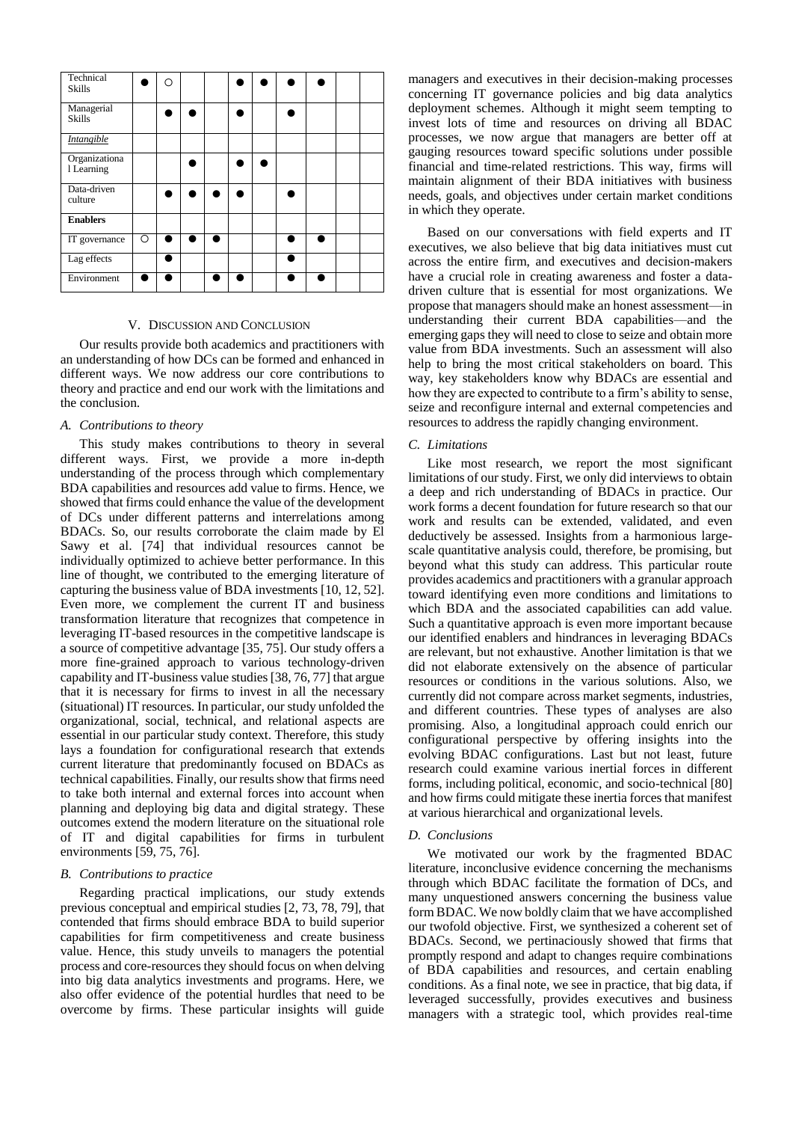| Technical<br><b>Skills</b>  |   | O |  |  |  |  |
|-----------------------------|---|---|--|--|--|--|
| Managerial<br><b>Skills</b> |   |   |  |  |  |  |
| <b>Intangible</b>           |   |   |  |  |  |  |
| Organizationa<br>1 Learning |   |   |  |  |  |  |
| Data-driven<br>culture      |   |   |  |  |  |  |
| <b>Enablers</b>             |   |   |  |  |  |  |
| IT governance               | Ω |   |  |  |  |  |
| Lag effects                 |   |   |  |  |  |  |
| Environment                 |   |   |  |  |  |  |

## V. DISCUSSION AND CONCLUSION

Our results provide both academics and practitioners with an understanding of how DCs can be formed and enhanced in different ways. We now address our core contributions to theory and practice and end our work with the limitations and the conclusion.

#### *A. Contributions to theory*

This study makes contributions to theory in several different ways. First, we provide a more in-depth understanding of the process through which complementary BDA capabilities and resources add value to firms. Hence, we showed that firms could enhance the value of the development of DCs under different patterns and interrelations among BDACs. So, our results corroborate the claim made by El Sawy et al. [74] that individual resources cannot be individually optimized to achieve better performance. In this line of thought, we contributed to the emerging literature of capturing the business value of BDA investments [10, 12, 52]. Even more, we complement the current IT and business transformation literature that recognizes that competence in leveraging IT-based resources in the competitive landscape is a source of competitive advantage [35, 75]. Our study offers a more fine-grained approach to various technology-driven capability and IT-business value studies [38, 76, 77] that argue that it is necessary for firms to invest in all the necessary (situational) IT resources. In particular, our study unfolded the organizational, social, technical, and relational aspects are essential in our particular study context. Therefore, this study lays a foundation for configurational research that extends current literature that predominantly focused on BDACs as technical capabilities. Finally, our results show that firms need to take both internal and external forces into account when planning and deploying big data and digital strategy. These outcomes extend the modern literature on the situational role of IT and digital capabilities for firms in turbulent environments [59, 75, 76].

#### *B. Contributions to practice*

Regarding practical implications, our study extends previous conceptual and empirical studies [2, 73, 78, 79], that contended that firms should embrace BDA to build superior capabilities for firm competitiveness and create business value. Hence, this study unveils to managers the potential process and core-resources they should focus on when delving into big data analytics investments and programs. Here, we also offer evidence of the potential hurdles that need to be overcome by firms. These particular insights will guide managers and executives in their decision-making processes concerning IT governance policies and big data analytics deployment schemes. Although it might seem tempting to invest lots of time and resources on driving all BDAC processes, we now argue that managers are better off at gauging resources toward specific solutions under possible financial and time-related restrictions. This way, firms will maintain alignment of their BDA initiatives with business needs, goals, and objectives under certain market conditions in which they operate.

Based on our conversations with field experts and IT executives, we also believe that big data initiatives must cut across the entire firm, and executives and decision-makers have a crucial role in creating awareness and foster a datadriven culture that is essential for most organizations. We propose that managers should make an honest assessment—in understanding their current BDA capabilities—and the emerging gaps they will need to close to seize and obtain more value from BDA investments. Such an assessment will also help to bring the most critical stakeholders on board. This way, key stakeholders know why BDACs are essential and how they are expected to contribute to a firm's ability to sense, seize and reconfigure internal and external competencies and resources to address the rapidly changing environment.

#### *C. Limitations*

Like most research, we report the most significant limitations of our study. First, we only did interviews to obtain a deep and rich understanding of BDACs in practice. Our work forms a decent foundation for future research so that our work and results can be extended, validated, and even deductively be assessed. Insights from a harmonious largescale quantitative analysis could, therefore, be promising, but beyond what this study can address. This particular route provides academics and practitioners with a granular approach toward identifying even more conditions and limitations to which BDA and the associated capabilities can add value. Such a quantitative approach is even more important because our identified enablers and hindrances in leveraging BDACs are relevant, but not exhaustive. Another limitation is that we did not elaborate extensively on the absence of particular resources or conditions in the various solutions. Also, we currently did not compare across market segments, industries, and different countries. These types of analyses are also promising. Also, a longitudinal approach could enrich our configurational perspective by offering insights into the evolving BDAC configurations. Last but not least, future research could examine various inertial forces in different forms, including political, economic, and socio-technical [80] and how firms could mitigate these inertia forces that manifest at various hierarchical and organizational levels.

#### *D. Conclusions*

We motivated our work by the fragmented BDAC literature, inconclusive evidence concerning the mechanisms through which BDAC facilitate the formation of DCs, and many unquestioned answers concerning the business value form BDAC. We now boldly claim that we have accomplished our twofold objective. First, we synthesized a coherent set of BDACs. Second, we pertinaciously showed that firms that promptly respond and adapt to changes require combinations of BDA capabilities and resources, and certain enabling conditions. As a final note, we see in practice, that big data, if leveraged successfully, provides executives and business managers with a strategic tool, which provides real-time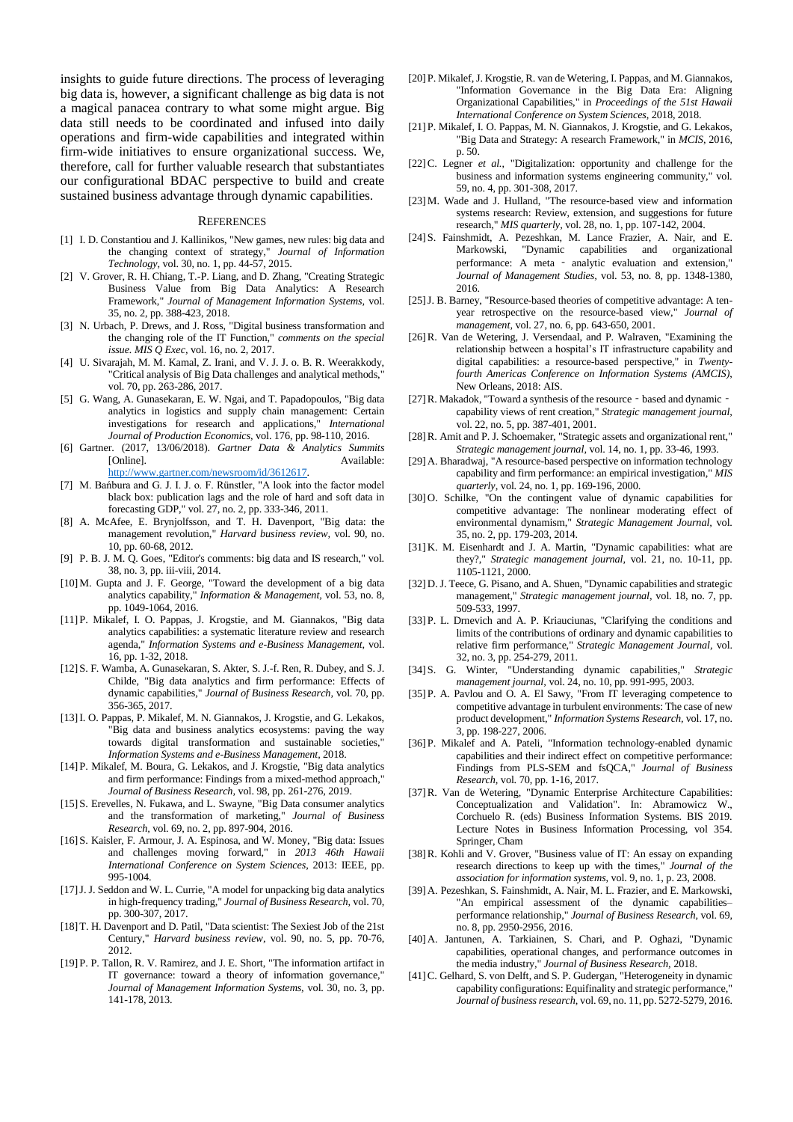insights to guide future directions. The process of leveraging big data is, however, a significant challenge as big data is not a magical panacea contrary to what some might argue. Big data still needs to be coordinated and infused into daily operations and firm-wide capabilities and integrated within firm-wide initiatives to ensure organizational success. We, therefore, call for further valuable research that substantiates our configurational BDAC perspective to build and create sustained business advantage through dynamic capabilities.

#### **REFERENCES**

- [1] I. D. Constantiou and J. Kallinikos, "New games, new rules: big data and the changing context of strategy," *Journal of Information Technology,* vol. 30, no. 1, pp. 44-57, 2015.
- [2] V. Grover, R. H. Chiang, T.-P. Liang, and D. Zhang, "Creating Strategic Business Value from Big Data Analytics: A Research Framework," *Journal of Management Information Systems,* vol. 35, no. 2, pp. 388-423, 2018.
- [3] N. Urbach, P. Drews, and J. Ross, "Digital business transformation and the changing role of the IT Function," *comments on the special issue. MIS Q Exec,* vol. 16, no. 2, 2017.
- [4] U. Sivarajah, M. M. Kamal, Z. Irani, and V. J. J. o. B. R. Weerakkody, "Critical analysis of Big Data challenges and analytical methods," vol. 70, pp. 263-286, 2017.
- [5] G. Wang, A. Gunasekaran, E. W. Ngai, and T. Papadopoulos, "Big data analytics in logistics and supply chain management: Certain investigations for research and applications," *International Journal of Production Economics,* vol. 176, pp. 98-110, 2016.
- [6] Gartner. (2017, 13/06/2018). *Gartner Data & Analytics Summits*  Available: [http://www.gartner.com/newsroom/id/3612617.](http://www.gartner.com/newsroom/id/3612617)
- [7] M. Bańbura and G. J. I. J. o. F. Rünstler, "A look into the factor model black box: publication lags and the role of hard and soft data in forecasting GDP," vol. 27, no. 2, pp. 333-346, 2011.
- [8] A. McAfee, E. Brynjolfsson, and T. H. Davenport, "Big data: the management revolution," *Harvard business review,* vol. 90, no. 10, pp. 60-68, 2012.
- [9] P. B. J. M. Q. Goes, "Editor's comments: big data and IS research," vol. 38, no. 3, pp. iii-viii, 2014.
- [10]M. Gupta and J. F. George, "Toward the development of a big data analytics capability," *Information & Management,* vol. 53, no. 8, pp. 1049-1064, 2016.
- [11] P. Mikalef, I. O. Pappas, J. Krogstie, and M. Giannakos, "Big data analytics capabilities: a systematic literature review and research agenda," *Information Systems and e-Business Management,* vol. 16, pp. 1-32, 2018.
- [12] S. F. Wamba, A. Gunasekaran, S. Akter, S. J.-f. Ren, R. Dubey, and S. J. Childe, "Big data analytics and firm performance: Effects of dynamic capabilities," *Journal of Business Research,* vol. 70, pp. 356-365, 2017.
- [13]I. O. Pappas, P. Mikalef, M. N. Giannakos, J. Krogstie, and G. Lekakos, "Big data and business analytics ecosystems: paving the way towards digital transformation and sustainable societies," *Information Systems and e-Business Management,* 2018.
- [14] P. Mikalef, M. Boura, G. Lekakos, and J. Krogstie, "Big data analytics and firm performance: Findings from a mixed-method approach," *Journal of Business Research,* vol. 98, pp. 261-276, 2019.
- [15] S. Erevelles, N. Fukawa, and L. Swayne, "Big Data consumer analytics and the transformation of marketing," *Journal of Business Research,* vol. 69, no. 2, pp. 897-904, 2016.
- [16] S. Kaisler, F. Armour, J. A. Espinosa, and W. Money, "Big data: Issues and challenges moving forward," in *2013 46th Hawaii International Conference on System Sciences*, 2013: IEEE, pp. 995-1004.
- [17] J. J. Seddon and W. L. Currie, "A model for unpacking big data analytics in high-frequency trading," *Journal of Business Research,* vol. 70, pp. 300-307, 2017.
- [18]T. H. Davenport and D. Patil, "Data scientist: The Sexiest Job of the 21st Century," *Harvard business review,* vol. 90, no. 5, pp. 70-76, 2012.
- [19] P. P. Tallon, R. V. Ramirez, and J. E. Short, "The information artifact in IT governance: toward a theory of information governance," *Journal of Management Information Systems,* vol. 30, no. 3, pp. 141-178, 2013.
- [20] P. Mikalef, J. Krogstie, R. van de Wetering, I. Pappas, and M. Giannakos, "Information Governance in the Big Data Era: Aligning Organizational Capabilities," in *Proceedings of the 51st Hawaii International Conference on System Sciences*, 2018, 2018.
- [21] P. Mikalef, I. O. Pappas, M. N. Giannakos, J. Krogstie, and G. Lekakos, "Big Data and Strategy: A research Framework," in *MCIS*, 2016, p. 50.
- [22]C. Legner *et al.*, "Digitalization: opportunity and challenge for the business and information systems engineering community," vol. 59, no. 4, pp. 301-308, 2017.
- [23]M. Wade and J. Hulland, "The resource-based view and information systems research: Review, extension, and suggestions for future research," *MIS quarterly,* vol. 28, no. 1, pp. 107-142, 2004.
- [24] S. Fainshmidt, A. Pezeshkan, M. Lance Frazier, A. Nair, and E. Markowski, "Dynamic capabilities and organizational performance: A meta - analytic evaluation and extension," *Journal of Management Studies,* vol. 53, no. 8, pp. 1348-1380, 2016.
- [25]J. B. Barney, "Resource-based theories of competitive advantage: A tenyear retrospective on the resource-based view," *Journal of management,* vol. 27, no. 6, pp. 643-650, 2001.
- [26]R. Van de Wetering, J. Versendaal, and P. Walraven, "Examining the relationship between a hospital's IT infrastructure capability and digital capabilities: a resource-based perspective," in *Twentyfourth Americas Conference on Information Systems (AMCIS)*, New Orleans, 2018: AIS.
- [27] R. Makadok, "Toward a synthesis of the resource based and dynamic capability views of rent creation," *Strategic management journal,*  vol. 22, no. 5, pp. 387-401, 2001.
- [28]R. Amit and P. J. Schoemaker, "Strategic assets and organizational rent," *Strategic management journal,* vol. 14, no. 1, pp. 33-46, 1993.
- [29]A. Bharadwaj, "A resource-based perspective on information technology capability and firm performance: an empirical investigation," *MIS quarterly,* vol. 24, no. 1, pp. 169-196, 2000.
- [30]O. Schilke, "On the contingent value of dynamic capabilities for competitive advantage: The nonlinear moderating effect of environmental dynamism," *Strategic Management Journal,* vol. 35, no. 2, pp. 179-203, 2014.
- [31] K. M. Eisenhardt and J. A. Martin, "Dynamic capabilities: what are they?," *Strategic management journal,* vol. 21, no. 10-11, pp. 1105-1121, 2000.
- [32]D. J. Teece, G. Pisano, and A. Shuen, "Dynamic capabilities and strategic management," *Strategic management journal,* vol. 18, no. 7, pp. 509-533, 1997.
- [33] P. L. Drnevich and A. P. Kriauciunas, "Clarifying the conditions and limits of the contributions of ordinary and dynamic capabilities to relative firm performance," *Strategic Management Journal,* vol. 32, no. 3, pp. 254-279, 2011.
- [34] S. G. Winter, "Understanding dynamic capabilities," *Strategic management journal,* vol. 24, no. 10, pp. 991-995, 2003.
- [35] P. A. Pavlou and O. A. El Sawy, "From IT leveraging competence to competitive advantage in turbulent environments: The case of new product development," *Information Systems Research,* vol. 17, no. 3, pp. 198-227, 2006.
- [36] P. Mikalef and A. Pateli, "Information technology-enabled dynamic capabilities and their indirect effect on competitive performance: Findings from PLS-SEM and fsQCA," *Journal of Business Research,* vol. 70, pp. 1-16, 2017.
- [37]R. Van de Wetering, "Dynamic Enterprise Architecture Capabilities: Conceptualization and Validation". In: Abramowicz W., Corchuelo R. (eds) Business Information Systems. BIS 2019. Lecture Notes in Business Information Processing, vol 354. Springer, Cham
- [38]R. Kohli and V. Grover, "Business value of IT: An essay on expanding research directions to keep up with the times," *Journal of the association for information systems,* vol. 9, no. 1, p. 23, 2008.
- [39]A. Pezeshkan, S. Fainshmidt, A. Nair, M. L. Frazier, and E. Markowski, "An empirical assessment of the dynamic capabilities– performance relationship," *Journal of Business Research,* vol. 69, no. 8, pp. 2950-2956, 2016.
- [40]A. Jantunen, A. Tarkiainen, S. Chari, and P. Oghazi, "Dynamic capabilities, operational changes, and performance outcomes in the media industry," *Journal of Business Research,* 2018.
- [41] C. Gelhard, S. von Delft, and S. P. Gudergan, "Heterogeneity in dynamic capability configurations: Equifinality and strategic performance," *Journal of business research,* vol. 69, no. 11, pp. 5272-5279, 2016.